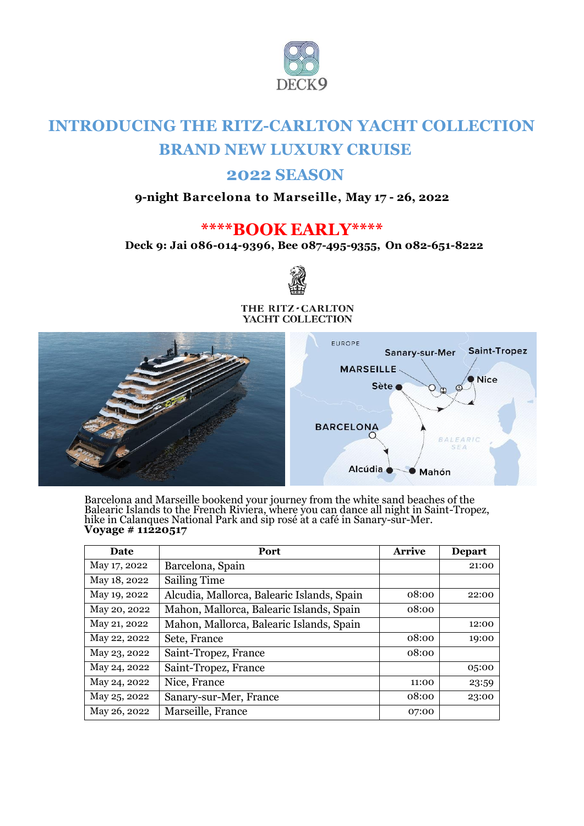

# **INTRODUCING THE RITZ-CARLTON YACHT COLLECTION BRAND NEW LUXURY CRUISE**

## **2022 SEASON**

### **9-night Barcelona to Marseille, May 17 - 26, 2022**

## **\*\*\*\*BOOK EARLY\*\*\*\***

**Deck 9: Jai 086-014-9396, Bee 087-495-9355, On 082-651-8222** 



#### THE RITZ-CARLTON YACHT COLLECTION



Barcelona and Marseille bookend your journey from the white sand beaches of the Balearic Islands to the French Riviera, where you can dance all night in Saint-Tropez, hike in Calanques National Park and sip rosé at a café in Sanary-sur-Mer. **Voyage # 11220517**

| Date         | Port                                       | <b>Arrive</b> | <b>Depart</b> |
|--------------|--------------------------------------------|---------------|---------------|
| May 17, 2022 | Barcelona, Spain                           |               | 21:00         |
| May 18, 2022 | <b>Sailing Time</b>                        |               |               |
| May 19, 2022 | Alcudia, Mallorca, Balearic Islands, Spain | 08:00         | 22:00         |
| May 20, 2022 | Mahon, Mallorca, Balearic Islands, Spain   | 08:00         |               |
| May 21, 2022 | Mahon, Mallorca, Balearic Islands, Spain   |               | 12:00         |
| May 22, 2022 | Sete, France                               | 08:00         | 19:00         |
| May 23, 2022 | Saint-Tropez, France                       | 08:00         |               |
| May 24, 2022 | Saint-Tropez, France                       |               | 05:00         |
| May 24, 2022 | Nice, France                               | 11:00         | 23:59         |
| May 25, 2022 | Sanary-sur-Mer, France                     | 08:00         | 23:00         |
| May 26, 2022 | Marseille, France                          | 07:00         |               |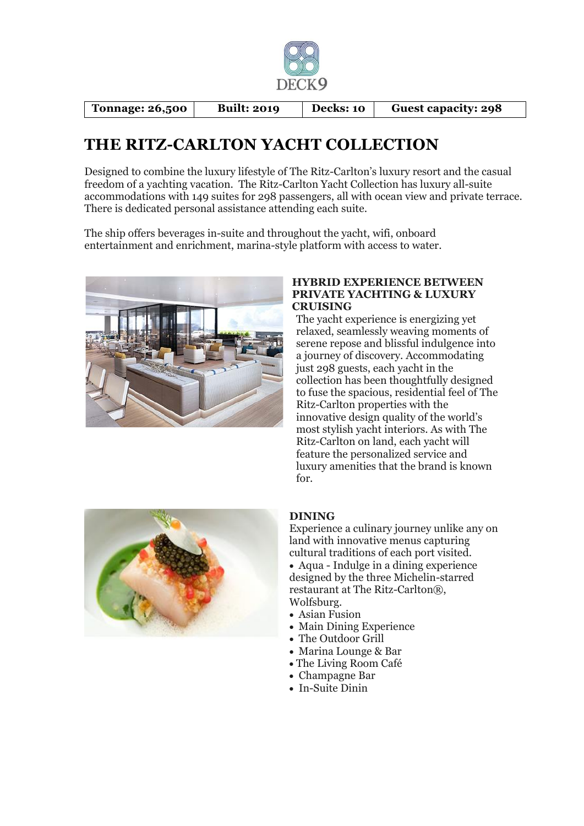

**Tonnage: 26,500 Built: 2019 Decks: 10 Guest capacity: 298**

## **THE RITZ-CARLTON YACHT COLLECTION**

Designed to combine the luxury lifestyle of The Ritz-Carlton's luxury resort and the casual freedom of a yachting vacation. The Ritz-Carlton Yacht Collection has luxury all-suite accommodations with 149 suites for 298 passengers, all with ocean view and private terrace. There is dedicated personal assistance attending each suite.

The ship offers beverages in-suite and throughout the yacht, wifi, onboard entertainment and enrichment, marina-style platform with access to water.



#### **HYBRID EXPERIENCE BETWEEN PRIVATE YACHTING & LUXURY CRUISING**

The yacht experience is energizing yet relaxed, seamlessly weaving moments of serene repose and blissful indulgence into a journey of discovery. Accommodating just 298 guests, each yacht in the collection has been thoughtfully designed to fuse the spacious, residential feel of The Ritz-Carlton properties with the innovative design quality of the world's most stylish yacht interiors. As with The Ritz-Carlton on land, each yacht will feature the personalized service and luxury amenities that the brand is known for.



### **DINING**

Experience a culinary journey unlike any on land with innovative menus capturing cultural traditions of each port visited.

• Aqua - Indulge in a dining experience designed by the three Michelin-starred restaurant at The Ritz-Carlton®, Wolfsburg.

- Asian Fusion
- Main Dining Experience
- The Outdoor Grill
- Marina Lounge & Bar
- The Living Room Café
- Champagne Bar
- In-Suite Dinin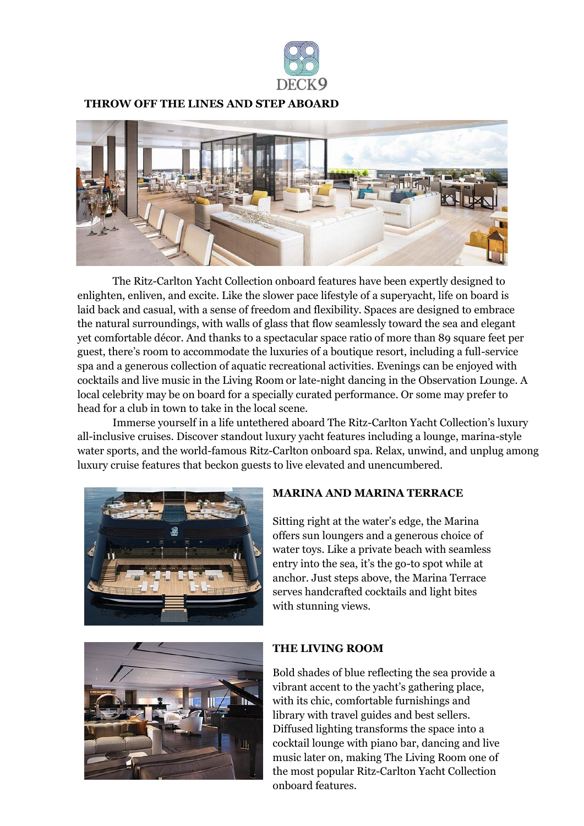

#### **THROW OFF THE LINES AND STEP ABOARD**



The Ritz-Carlton Yacht Collection onboard features have been expertly designed to enlighten, enliven, and excite. Like the slower pace lifestyle of a superyacht, life on board is laid back and casual, with a sense of freedom and flexibility. Spaces are designed to embrace the natural surroundings, with walls of glass that flow seamlessly toward the sea and elegant yet comfortable décor. And thanks to a spectacular space ratio of more than 89 square feet per guest, there's room to accommodate the luxuries of a boutique resort, including a full-service spa and a generous collection of aquatic recreational activities. Evenings can be enjoyed with cocktails and live music in the Living Room or late-night dancing in the Observation Lounge. A local celebrity may be on board for a specially curated performance. Or some may prefer to head for a club in town to take in the local scene.

Immerse yourself in a life untethered aboard The Ritz-Carlton Yacht Collection's luxury all-inclusive cruises. Discover standout luxury yacht features including a lounge, marina-style water sports, and the world-famous Ritz-Carlton onboard spa. Relax, unwind, and unplug among luxury cruise features that beckon guests to live elevated and unencumbered.



#### **MARINA AND MARINA TERRACE**

Sitting right at the water's edge, the Marina offers sun loungers and a generous choice of water toys. Like a private beach with seamless entry into the sea, it's the go-to spot while at anchor. Just steps above, the Marina Terrace serves handcrafted cocktails and light bites with stunning views.



#### **THE LIVING ROOM**

Bold shades of blue reflecting the sea provide a vibrant accent to the yacht's gathering place, with its chic, comfortable furnishings and library with travel guides and best sellers. Diffused lighting transforms the space into a cocktail lounge with piano bar, dancing and live music later on, making The Living Room one of the most popular Ritz-Carlton Yacht Collection onboard features.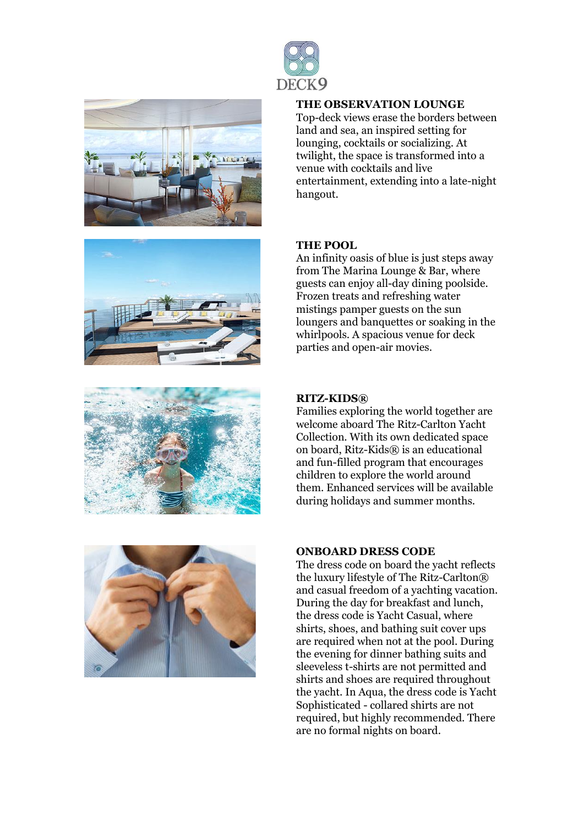







#### **THE OBSERVATION LOUNGE**

Top-deck views erase the borders between land and sea, an inspired setting for lounging, cocktails or socializing. At twilight, the space is transformed into a venue with cocktails and live entertainment, extending into a late-night hangout.

#### **THE POOL**

DECK9

An infinity oasis of blue is just steps away from The Marina Lounge & Bar, where guests can enjoy all-day dining poolside. Frozen treats and refreshing water mistings pamper guests on the sun loungers and banquettes or soaking in the whirlpools. A spacious venue for deck parties and open-air movies.

#### **RITZ-KIDS®**

Families exploring the world together are welcome aboard The Ritz-Carlton Yacht Collection. With its own dedicated space on board, Ritz-Kids® is an educational and fun-filled program that encourages children to explore the world around them. Enhanced services will be available during holidays and summer months.

#### **ONBOARD DRESS CODE**

The dress code on board the yacht reflects the luxury lifestyle of The Ritz-Carlton® and casual freedom of a yachting vacation. During the day for breakfast and lunch, the dress code is Yacht Casual, where shirts, shoes, and bathing suit cover ups are required when not at the pool. During the evening for dinner bathing suits and sleeveless t-shirts are not permitted and shirts and shoes are required throughout the yacht. In Aqua, the dress code is Yacht Sophisticated - collared shirts are not required, but highly recommended. There are no formal nights on board.